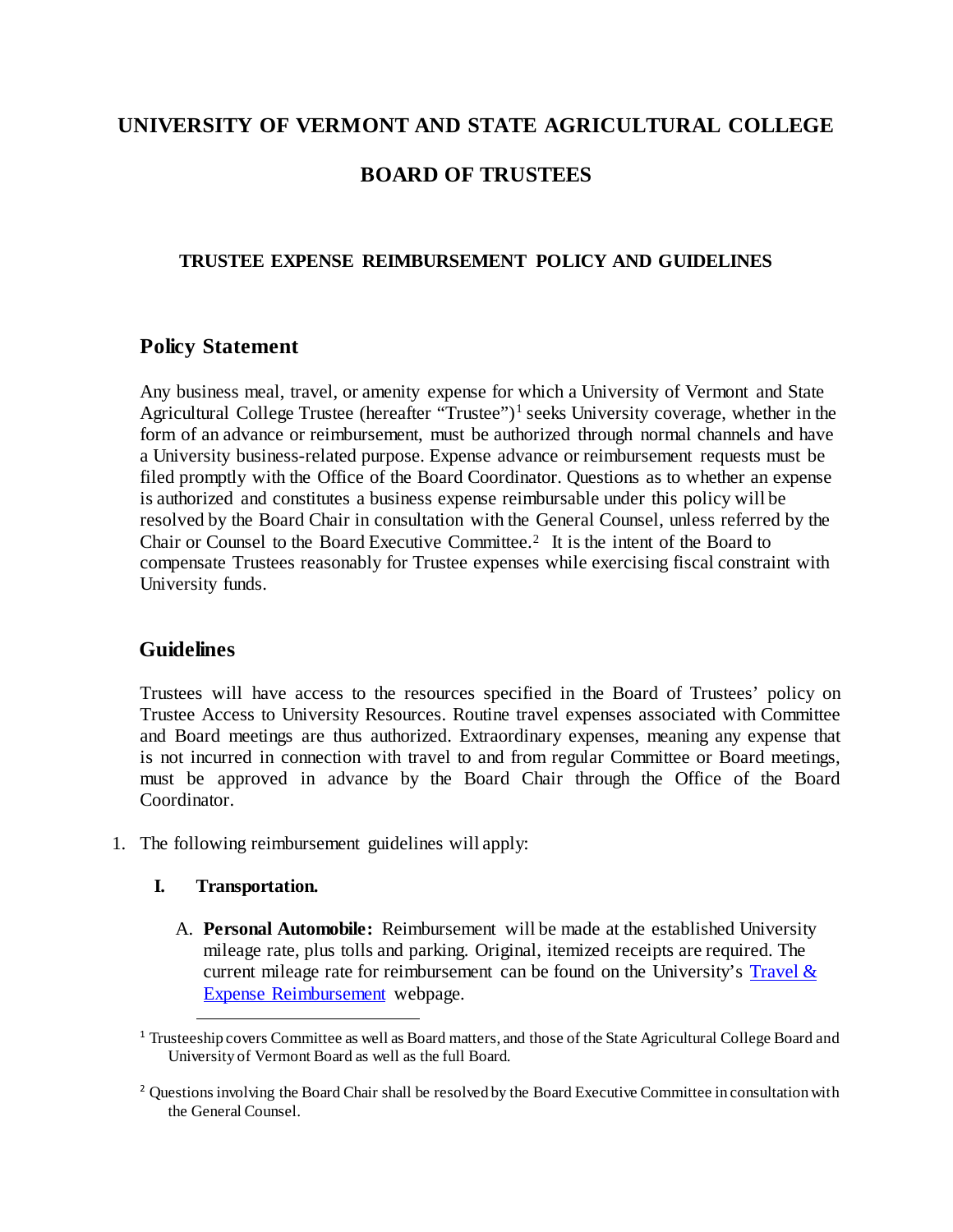# **UNIVERSITY OF VERMONT AND STATE AGRICULTURAL COLLEGE**

# **BOARD OF TRUSTEES**

### **TRUSTEE EXPENSE REIMBURSEMENT POLICY AND GUIDELINES**

## **Policy Statement**

Any business meal, travel, or amenity expense for which a University of Vermont and State Agricultural College Trustee (hereafter "Trustee")<sup>[1](#page-0-0)</sup> seeks University coverage, whether in the form of an advance or reimbursement, must be authorized through normal channels and have a University business-related purpose. Expense advance or reimbursement requests must be filed promptly with the Office of the Board Coordinator. Questions as to whether an expense is authorized and constitutes a business expense reimbursable under this policy will be resolved by the Board Chair in consultation with the General Counsel, unless referred by the Chair or Counsel to the Board Executive Committee.[2](#page-0-1) It is the intent of the Board to compensate Trustees reasonably for Trustee expenses while exercising fiscal constraint with University funds.

#### **Guidelines**

Trustees will have access to the resources specified in the Board of Trustees' policy on Trustee Access to University Resources. Routine travel expenses associated with Committee and Board meetings are thus authorized. Extraordinary expenses, meaning any expense that is not incurred in connection with travel to and from regular Committee or Board meetings, must be approved in advance by the Board Chair through the Office of the Board Coordinator.

1. The following reimbursement guidelines will apply:

#### **I. Transportation.**

A. **Personal Automobile:** Reimbursement will be made at the established University mileage rate, plus tolls and parking. Original, itemized receipts are required. The current mileage rate for reimbursement can be found on the University's Travel  $\&$ [Expense Reimbursement](https://www.uvm.edu/finance/travel) webpage.

<span id="page-0-0"></span><sup>&</sup>lt;sup>1</sup> Trusteeship covers Committee as well as Board matters, and those of the State Agricultural College Board and University of Vermont Board as well as the full Board.

<span id="page-0-1"></span><sup>&</sup>lt;sup>2</sup> Questions involving the Board Chair shall be resolved by the Board Executive Committee in consultation with the General Counsel.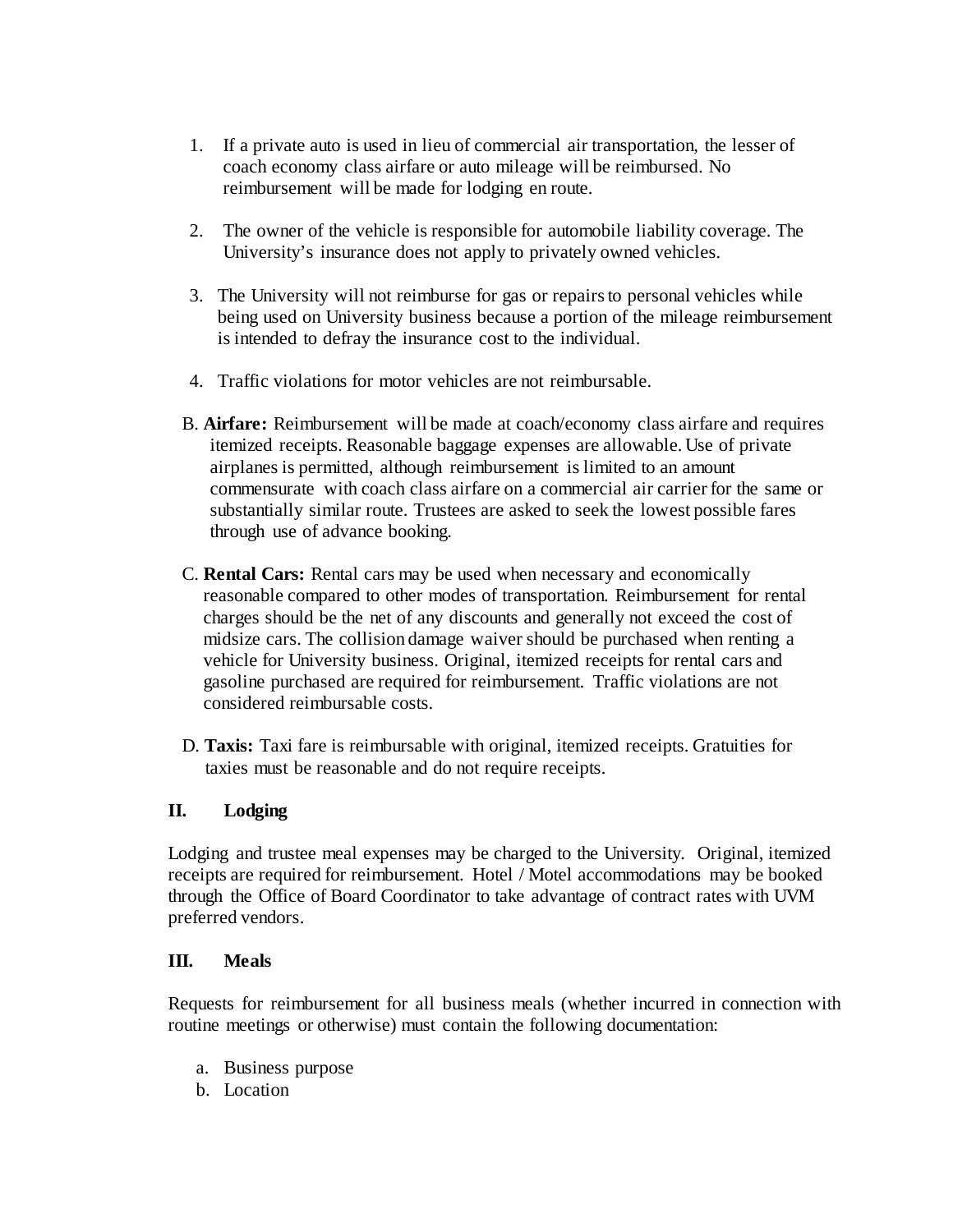- 1. If a private auto is used in lieu of commercial air transportation, the lesser of coach economy class airfare or auto mileage will be reimbursed. No reimbursement will be made for lodging en route.
- 2. The owner of the vehicle is responsible for automobile liability coverage. The University's insurance does not apply to privately owned vehicles.
- 3. The University will not reimburse for gas or repairs to personal vehicles while being used on University business because a portion of the mileage reimbursement is intended to defray the insurance cost to the individual.
- 4. Traffic violations for motor vehicles are not reimbursable.
- B. **Airfare:** Reimbursement will be made at coach/economy class airfare and requires itemized receipts. Reasonable baggage expenses are allowable. Use of private airplanes is permitted, although reimbursement is limited to an amount commensurate with coach class airfare on a commercial air carrier for the same or substantially similar route. Trustees are asked to seek the lowest possible fares through use of advance booking.
- C. **Rental Cars:** Rental cars may be used when necessary and economically reasonable compared to other modes of transportation. Reimbursement for rental charges should be the net of any discounts and generally not exceed the cost of midsize cars. The collision damage waiver should be purchased when renting a vehicle for University business. Original, itemized receipts for rental cars and gasoline purchased are required for reimbursement. Traffic violations are not considered reimbursable costs.
- D. **Taxis:** Taxi fare is reimbursable with original, itemized receipts. Gratuities for taxies must be reasonable and do not require receipts.

#### **II. Lodging**

Lodging and trustee meal expenses may be charged to the University. Original, itemized receipts are required for reimbursement. Hotel / Motel accommodations may be booked through the Office of Board Coordinator to take advantage of contract rates with UVM preferred vendors.

#### **III. Meals**

Requests for reimbursement for all business meals (whether incurred in connection with routine meetings or otherwise) must contain the following documentation:

- a. Business purpose
- b. Location